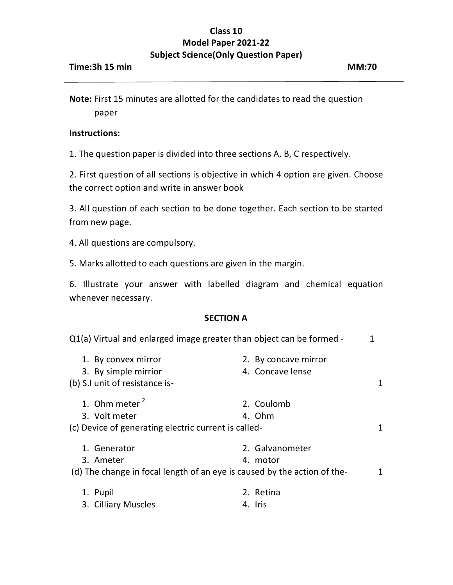## **Class 10 Model Paper 2021-22 Subject Science(Only Question Paper)**

**Note:** First 15 minutes are allotted for the candidates to read the question paper

### **Instructions:**

1. The question paper is divided into three sections A, B, C respectively.

2. First question of all sections is objective in which 4 option are given. Choose the correct option and write in answer book

3. All question of each section to be done together. Each section to be started from new page.

4. All questions are compulsory.

5. Marks allotted to each questions are given in the margin.

6. Illustrate your answer with labelled diagram and chemical equation whenever necessary.

### **SECTION A**

| Q1(a) Virtual and enlarged image greater than object can be formed -     |                      |   |
|--------------------------------------------------------------------------|----------------------|---|
| 1. By convex mirror                                                      | 2. By concave mirror |   |
| 3. By simple mirrior                                                     | 4. Concave lense     |   |
| (b) S.I unit of resistance is-                                           |                      | 1 |
| 1. Ohm meter $2$                                                         | 2. Coulomb           |   |
| 3. Volt meter                                                            | 4. Ohm               |   |
| (c) Device of generating electric current is called-                     |                      | 1 |
| 1. Generator                                                             | 2. Galvanometer      |   |
| 3. Ameter                                                                | 4. motor             |   |
| (d) The change in focal length of an eye is caused by the action of the- |                      |   |
| 1. Pupil                                                                 | 2. Retina            |   |
| 3. Cilliary Muscles                                                      | 4. Iris              |   |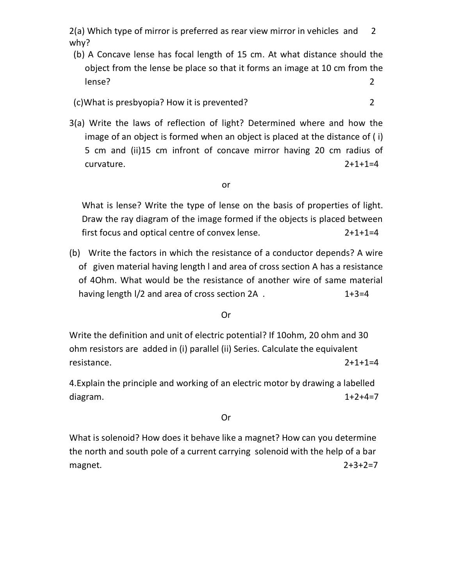2(a) Which type of mirror is preferred as rear view mirror in vehicles and 2 why?

 (b) A Concave lense has focal length of 15 cm. At what distance should the object from the lense be place so that it forms an image at 10 cm from the lense? 2

(c)What is presbyopia? How it is prevented? 2

3(a) Write the laws of reflection of light? Determined where and how the image of an object is formed when an object is placed at the distance of ( i) 5 cm and (ii)15 cm infront of concave mirror having 20 cm radius of curvature. 2+1+1=4

#### or

What is lense? Write the type of lense on the basis of properties of light. Draw the ray diagram of the image formed if the objects is placed between first focus and optical centre of convex lense. 2+1+1=4

(b) Write the factors in which the resistance of a conductor depends? A wire of given material having length l and area of cross section A has a resistance of 4Ohm. What would be the resistance of another wire of same material having length I/2 and area of cross section 2A . 1+3=4

#### Or

Write the definition and unit of electric potential? If 10ohm, 20 ohm and 30 ohm resistors are added in (i) parallel (ii) Series. Calculate the equivalent resistance. 2+1+1=4

4.Explain the principle and working of an electric motor by drawing a labelled diagram. 1+2+4=7

#### Or

What is solenoid? How does it behave like a magnet? How can you determine the north and south pole of a current carrying solenoid with the help of a bar magnet. 2+3+2=7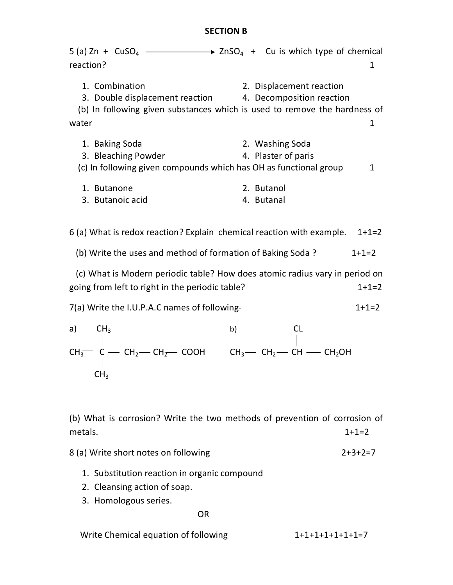## **SECTION B**

| 5 (a) Zn + $CuSO_4$ $\longrightarrow$ $ZnSO_4$ + Cu is which type of chemical<br>reaction?                                           | 1                                                                                                          |
|--------------------------------------------------------------------------------------------------------------------------------------|------------------------------------------------------------------------------------------------------------|
| 1. Combination<br>3. Double displacement reaction 4. Decomposition reaction<br>water                                                 | 2. Displacement reaction<br>(b) In following given substances which is used to remove the hardness of<br>1 |
|                                                                                                                                      |                                                                                                            |
| 1. Baking Soda<br>3. Bleaching Powder<br>(c) In following given compounds which has OH as functional group                           | 2. Washing Soda<br>4. Plaster of paris<br>1                                                                |
| 1. Butanone<br>3. Butanoic acid                                                                                                      | 2. Butanol<br>4. Butanal                                                                                   |
| 6 (a) What is redox reaction? Explain chemical reaction with example.                                                                | $1+1=2$                                                                                                    |
| (b) Write the uses and method of formation of Baking Soda?                                                                           | $1+1=2$                                                                                                    |
| going from left to right in the periodic table?                                                                                      | (c) What is Modern periodic table? How does atomic radius vary in period on<br>$1+1=2$                     |
| 7(a) Write the I.U.P.A.C names of following-                                                                                         | $1+1=2$                                                                                                    |
| CH <sub>3</sub><br>a)                                                                                                                | <b>CL</b><br>b)                                                                                            |
| $CH_3^-$ C — CH <sub>2</sub> — CH <sub>2</sub> — COOH CH <sub>3</sub> — CH <sub>2</sub> — CH — CH <sub>2</sub> OH<br>CH <sub>3</sub> |                                                                                                            |
| (b) What is corrosion? Write the two methods of prevention of corrosion of<br>metals.                                                | $1+1=2$                                                                                                    |
| 8 (a) Write short notes on following                                                                                                 | $2+3+2=7$                                                                                                  |
| 1. Substitution reaction in organic compound<br>2. Cleansing action of soap.                                                         |                                                                                                            |

3. Homologous series.

OR

Write Chemical equation of following  $1+1+1+1+1+1+1=7$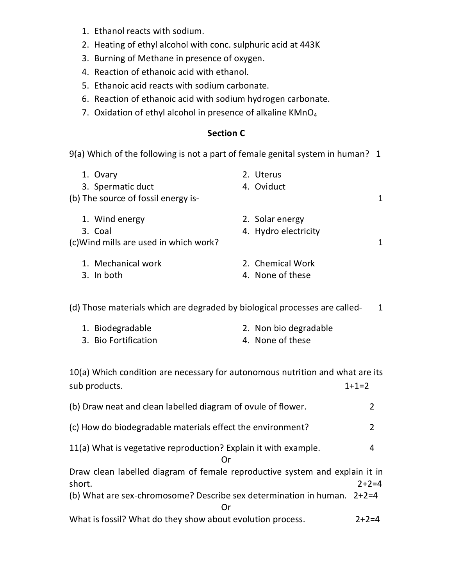- 1. Ethanol reacts with sodium.
- 2. Heating of ethyl alcohol with conc. sulphuric acid at 443K
- 3. Burning of Methane in presence of oxygen.
- 4. Reaction of ethanoic acid with ethanol.
- 5. Ethanoic acid reacts with sodium carbonate.
- 6. Reaction of ethanoic acid with sodium hydrogen carbonate.
- 7. Oxidation of ethyl alcohol in presence of alkaline KMnO<sub>4</sub>

# **Section C**

9(a) Which of the following is not a part of female genital system in human? 1

| 1. Ovary                              | 2. Uterus            |  |
|---------------------------------------|----------------------|--|
| 3. Spermatic duct                     | 4. Oviduct           |  |
| (b) The source of fossil energy is-   |                      |  |
| 1. Wind energy                        | 2. Solar energy      |  |
| 3. Coal                               | 4. Hydro electricity |  |
| (c)Wind mills are used in which work? |                      |  |
| 1. Mechanical work                    | 2. Chemical Work     |  |
| 3. In both                            | 4. None of these     |  |
|                                       |                      |  |

(d) Those materials which are degraded by biological processes are called-<br>1

| 1. Biodegradable     | 2. Non bio degradable |
|----------------------|-----------------------|
| 3. Bio Fortification | 4. None of these      |

10(a) Which condition are necessary for autonomous nutrition and what are its sub products. 1+1=2

| (b) Draw neat and clean labelled diagram of ovule of flower.                |               |  |  |
|-----------------------------------------------------------------------------|---------------|--|--|
| (c) How do biodegradable materials effect the environment?                  | $\mathcal{P}$ |  |  |
| 11(a) What is vegetative reproduction? Explain it with example.             | 4             |  |  |
| Draw clean labelled diagram of female reproductive system and explain it in |               |  |  |
| short.                                                                      | $2+2=4$       |  |  |
| (b) What are sex-chromosome? Describe sex determination in human. $2+2=4$   |               |  |  |
| 0r                                                                          |               |  |  |
| What is fossil? What do they show about evolution process.                  | $7 + 7 = 4$   |  |  |